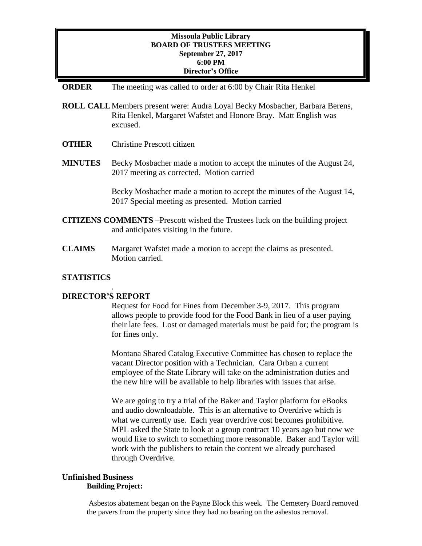# **Missoula Public Library BOARD OF TRUSTEES MEETING September 27, 2017 6:00 PM Director's Office**

### **ORDER** The meeting was called to order at 6:00 by Chair Rita Henkel

- **ROLL CALL**Members present were: Audra Loyal Becky Mosbacher, Barbara Berens, Rita Henkel, Margaret Wafstet and Honore Bray. Matt English was excused.
- **OTHER** Christine Prescott citizen
- **MINUTES** Becky Mosbacher made a motion to accept the minutes of the August 24, 2017 meeting as corrected. Motion carried

Becky Mosbacher made a motion to accept the minutes of the August 14, 2017 Special meeting as presented. Motion carried

- **CITIZENS COMMENTS** –Prescott wished the Trustees luck on the building project and anticipates visiting in the future.
- **CLAIMS** Margaret Wafstet made a motion to accept the claims as presented. Motion carried.

# **STATISTICS**

### **DIRECTOR'S REPORT**

.

Request for Food for Fines from December 3-9, 2017. This program allows people to provide food for the Food Bank in lieu of a user paying their late fees. Lost or damaged materials must be paid for; the program is for fines only.

Montana Shared Catalog Executive Committee has chosen to replace the vacant Director position with a Technician. Cara Orban a current employee of the State Library will take on the administration duties and the new hire will be available to help libraries with issues that arise.

We are going to try a trial of the Baker and Taylor platform for eBooks and audio downloadable. This is an alternative to Overdrive which is what we currently use. Each year overdrive cost becomes prohibitive. MPL asked the State to look at a group contract 10 years ago but now we would like to switch to something more reasonable. Baker and Taylor will work with the publishers to retain the content we already purchased through Overdrive.

#### **Unfinished Business Building Project:**

Asbestos abatement began on the Payne Block this week. The Cemetery Board removed the pavers from the property since they had no bearing on the asbestos removal.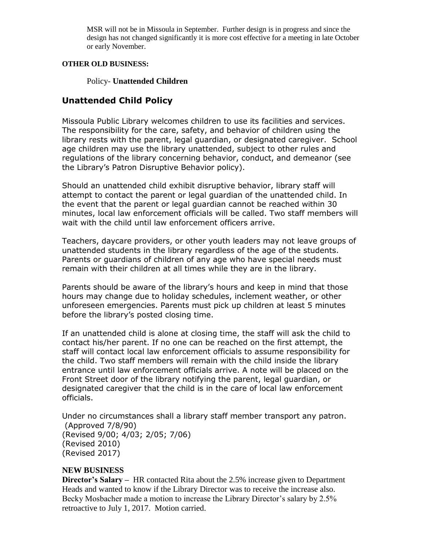MSR will not be in Missoula in September. Further design is in progress and since the design has not changed significantly it is more cost effective for a meeting in late October or early November.

### **OTHER OLD BUSINESS:**

Policy- **Unattended Children**

# **Unattended Child Policy**

Missoula Public Library welcomes children to use its facilities and services. The responsibility for the care, safety, and behavior of children using the library rests with the parent, legal guardian, or designated caregiver. School age children may use the library unattended, subject to other rules and regulations of the library concerning behavior, conduct, and demeanor (see the Library's Patron Disruptive Behavior policy).

Should an unattended child exhibit disruptive behavior, library staff will attempt to contact the parent or legal guardian of the unattended child. In the event that the parent or legal guardian cannot be reached within 30 minutes, local law enforcement officials will be called. Two staff members will wait with the child until law enforcement officers arrive.

Teachers, daycare providers, or other youth leaders may not leave groups of unattended students in the library regardless of the age of the students. Parents or guardians of children of any age who have special needs must remain with their children at all times while they are in the library.

Parents should be aware of the library's hours and keep in mind that those hours may change due to holiday schedules, inclement weather, or other unforeseen emergencies. Parents must pick up children at least 5 minutes before the library's posted closing time.

If an unattended child is alone at closing time, the staff will ask the child to contact his/her parent. If no one can be reached on the first attempt, the staff will contact local law enforcement officials to assume responsibility for the child. Two staff members will remain with the child inside the library entrance until law enforcement officials arrive. A note will be placed on the Front Street door of the library notifying the parent, legal guardian, or designated caregiver that the child is in the care of local law enforcement officials.

Under no circumstances shall a library staff member transport any patron. (Approved 7/8/90) (Revised 9/00; 4/03; 2/05; 7/06) (Revised 2010) (Revised 2017)

# **NEW BUSINESS**

**Director's Salary –** HR contacted Rita about the 2.5% increase given to Department Heads and wanted to know if the Library Director was to receive the increase also. Becky Mosbacher made a motion to increase the Library Director's salary by 2.5% retroactive to July 1, 2017. Motion carried.